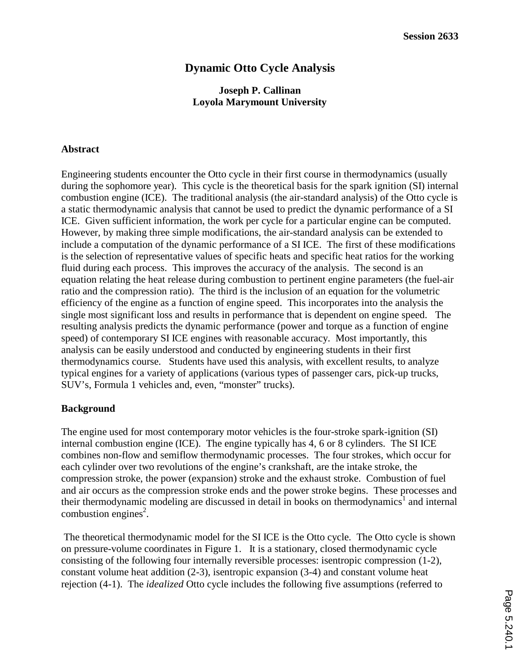# **Dynamic Otto Cycle Analysis**

## **Joseph P. Callinan Loyola Marymount University**

### **Abstract**

Engineering students encounter the Otto cycle in their first course in thermodynamics (usually during the sophomore year). This cycle is the theoretical basis for the spark ignition (SI) internal combustion engine (ICE). The traditional analysis (the air-standard analysis) of the Otto cycle is a static thermodynamic analysis that cannot be used to predict the dynamic performance of a SI ICE. Given sufficient information, the work per cycle for a particular engine can be computed. However, by making three simple modifications, the air-standard analysis can be extended to include a computation of the dynamic performance of a SI ICE. The first of these modifications is the selection of representative values of specific heats and specific heat ratios for the working fluid during each process. This improves the accuracy of the analysis. The second is an equation relating the heat release during combustion to pertinent engine parameters (the fuel-air ratio and the compression ratio). The third is the inclusion of an equation for the volumetric efficiency of the engine as a function of engine speed. This incorporates into the analysis the single most significant loss and results in performance that is dependent on engine speed. The resulting analysis predicts the dynamic performance (power and torque as a function of engine speed) of contemporary SI ICE engines with reasonable accuracy. Most importantly, this analysis can be easily understood and conducted by engineering students in their first thermodynamics course. Students have used this analysis, with excellent results, to analyze typical engines for a variety of applications (various types of passenger cars, pick-up trucks, SUV's, Formula 1 vehicles and, even, "monster" trucks).

#### **Background**

The engine used for most contemporary motor vehicles is the four-stroke spark-ignition (SI) internal combustion engine (ICE). The engine typically has 4, 6 or 8 cylinders. The SI ICE combines non-flow and semiflow thermodynamic processes. The four strokes, which occur for each cylinder over two revolutions of the engine's crankshaft, are the intake stroke, the compression stroke, the power (expansion) stroke and the exhaust stroke. Combustion of fuel and air occurs as the compression stroke ends and the power stroke begins. These processes and their thermodynamic modeling are discussed in detail in books on thermodynamics<sup>1</sup> and internal combustion engines<sup>2</sup>.

 The theoretical thermodynamic model for the SI ICE is the Otto cycle. The Otto cycle is shown on pressure-volume coordinates in Figure 1. It is a stationary, closed thermodynamic cycle consisting of the following four internally reversible processes: isentropic compression (1-2), constant volume heat addition (2-3), isentropic expansion (3-4) and constant volume heat rejection (4-1). The *idealized* Otto cycle includes the following five assumptions (referred to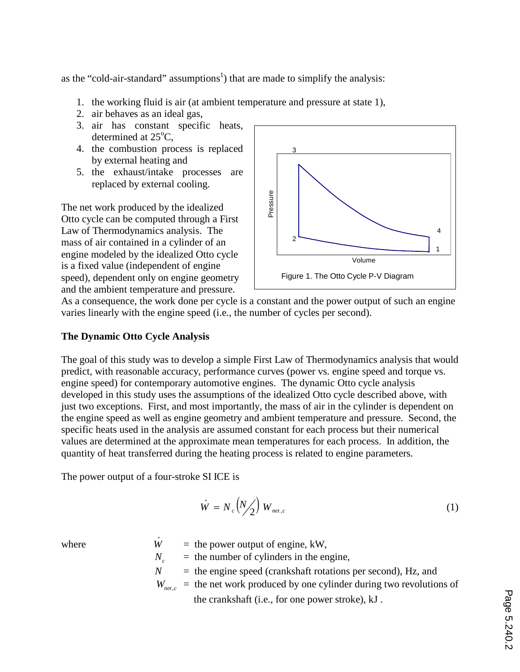as the "cold-air-standard" assumptions<sup>1</sup>) that are made to simplify the analysis:

- 1. the working fluid is air (at ambient temperature and pressure at state 1),
- 2. air behaves as an ideal gas,
- 3. air has constant specific heats, determined at  $25^{\circ}$ C,
- 4. the combustion process is replaced by external heating and
- 5. the exhaust/intake processes are replaced by external cooling.

The net work produced by the idealized Otto cycle can be computed through a First Law of Thermodynamics analysis. The mass of air contained in a cylinder of an engine modeled by the idealized Otto cycle is a fixed value (independent of engine speed), dependent only on engine geometry and the ambient temperature and pressure.



As a consequence, the work done per cycle is a constant and the power output of such an engine varies linearly with the engine speed (i.e., the number of cycles per second).

## **The Dynamic Otto Cycle Analysis**

The goal of this study was to develop a simple First Law of Thermodynamics analysis that would predict, with reasonable accuracy, performance curves (power vs. engine speed and torque vs. engine speed) for contemporary automotive engines. The dynamic Otto cycle analysis developed in this study uses the assumptions of the idealized Otto cycle described above, with just two exceptions. First, and most importantly, the mass of air in the cylinder is dependent on the engine speed as well as engine geometry and ambient temperature and pressure. Second, the specific heats used in the analysis are assumed constant for each process but their numerical values are determined at the approximate mean temperatures for each process. In addition, the quantity of heat transferred during the heating process is related to engine parameters.

The power output of a four-stroke SI ICE is

$$
\dot{W} = N_c \left( \frac{N}{2} \right) W_{net,c} \tag{1}
$$

where  $W$ 

 $=$  the power output of engine, kW,

- $N_c$  = the number of cylinders in the engine,
- $N =$  the engine speed (crankshaft rotations per second), Hz, and
- $W_{net,c}$  = the net work produced by one cylinder during two revolutions of the crankshaft (i.e., for one power stroke), kJ .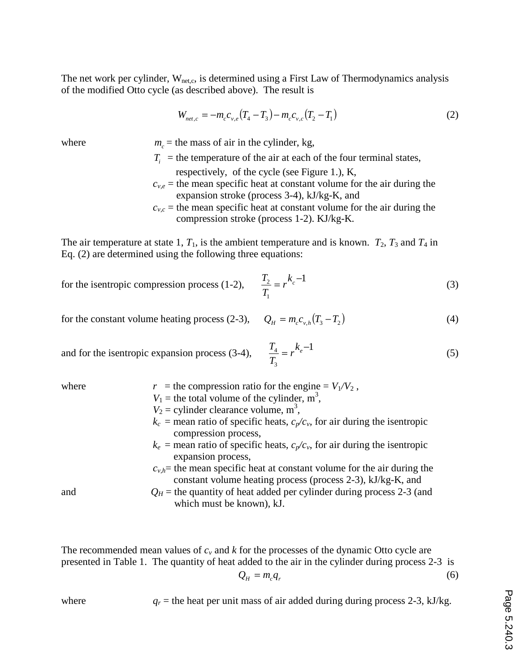The net work per cylinder,  $W_{net,c}$ , is determined using a First Law of Thermodynamics analysis of the modified Otto cycle (as described above). The result is

$$
W_{net,c} = -m_c c_{v,e} (T_4 - T_3) - m_c c_{v,c} (T_2 - T_1)
$$
\n(2)

where  $m_c$  = the mass of air in the cylinder, kg,

 $T_i$  = the temperature of the air at each of the four terminal states, respectively, of the cycle (see Figure 1.), K,  $c_{v,e}$  = the mean specific heat at constant volume for the air during the expansion stroke (process 3-4), kJ/kg-K, and  $c_{v,c}$  = the mean specific heat at constant volume for the air during the

compression stroke (process 1-2). KJ/kg-K.

The air temperature at state 1,  $T_1$ , is the ambient temperature and is known.  $T_2$ ,  $T_3$  and  $T_4$  in Eq. (2) are determined using the following three equations:

for the isentropic compression process  $(1-2)$ ,

$$
\frac{T_2}{T_1} = r^{k_c - 1}
$$
 (3)

for the constant volume heating process (2-3),  $Q_H = m_c c_{v,h} (T_3 - T_2)$  (4)

and for the isentropic expansion process (3-4), 3  $\frac{4}{s} = r^{k_e}$ *T*  $\frac{T_4}{T} = r^{k_e - 1}$  (5)

| where | $r =$ the compression ratio for the engine = $V_1/V_2$ ,                        |
|-------|---------------------------------------------------------------------------------|
|       | $V_1$ = the total volume of the cylinder, m <sup>3</sup> ,                      |
|       | $V_2$ = cylinder clearance volume, m <sup>3</sup> ,                             |
|       | $k_c$ = mean ratio of specific heats, $c_p/c_v$ , for air during the isentropic |
|       | compression process,                                                            |
|       | $k_e$ = mean ratio of specific heats, $c_p/c_v$ , for air during the isentropic |
|       | expansion process,                                                              |
|       | $c_{v,h}$ = the mean specific heat at constant volume for the air during the    |
|       | constant volume heating process (process 2-3), kJ/kg-K, and                     |
| and   | $Q_H$ = the quantity of heat added per cylinder during process 2-3 (and         |
|       | which must be known), kJ.                                                       |

The recommended mean values of  $c<sub>v</sub>$  and  $k$  for the processes of the dynamic Otto cycle are presented in Table 1. The quantity of heat added to the air in the cylinder during process 2-3 is  $Q_n = ma$  (6)  $Q_H = m_c q_r$  (6)

$$
Q_H = m_c q_r \tag{6}
$$

where  $q_r$  = the heat per unit mass of air added during during process 2-3, kJ/kg.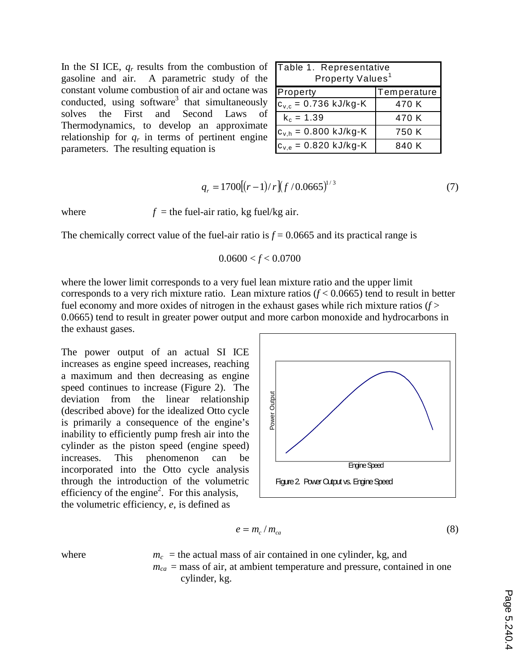In the SI ICE,  $q_r$  results from the combustion of gasoline and air. A parametric study of the constant volume combustion of air and octane was conducted, using software<sup>3</sup> that simultaneously solves the First and Second Laws of Thermodynamics, to develop an approximate relationship for  $q_r$  in terms of pertinent engine parameters. The resulting equation is

| Table 1. Representative<br>Property Values <sup>1</sup> |             |  |  |  |
|---------------------------------------------------------|-------------|--|--|--|
| Property                                                | Temperature |  |  |  |
| $c_{v,c} = 0.736$ kJ/kg-K                               | 470 K       |  |  |  |
| $k_c = 1.39$                                            | 470 K       |  |  |  |
| $c_{v,h} = 0.800 \text{ kJ/kg-K}$                       | 750 K       |  |  |  |
| $c_{v,e}$ = 0.820 kJ/kg-K                               | 840 K       |  |  |  |

$$
q_r = 1700[(r-1)/r](f/0.0665)^{1/3}
$$
 (7)

where  $f =$  the fuel-air ratio, kg fuel/kg air.

The chemically correct value of the fuel-air ratio is  $f = 0.0665$  and its practical range is

$$
0.0600 < f < 0.0700
$$

where the lower limit corresponds to a very fuel lean mixture ratio and the upper limit corresponds to a very rich mixture ratio. Lean mixture ratios  $(f < 0.0665)$  tend to result in better fuel economy and more oxides of nitrogen in the exhaust gases while rich mixture ratios (*f* > 0.0665) tend to result in greater power output and more carbon monoxide and hydrocarbons in the exhaust gases.

The power output of an actual SI ICE increases as engine speed increases, reaching a maximum and then decreasing as engine speed continues to increase (Figure 2). The deviation from the linear relationship (described above) for the idealized Otto cycle is primarily a consequence of the engine's inability to efficiently pump fresh air into the cylinder as the piston speed (engine speed) increases. This phenomenon can be incorporated into the Otto cycle analysis through the introduction of the volumetric efficiency of the engine<sup>2</sup>. For this analysis, the volumetric efficiency, *e*, is defined as



$$
e = m_c / m_{ca} \tag{8}
$$

where  $m_c$  = the actual mass of air contained in one cylinder, kg, and  $m_{ca}$  = mass of air, at ambient temperature and pressure, contained in one cylinder, kg.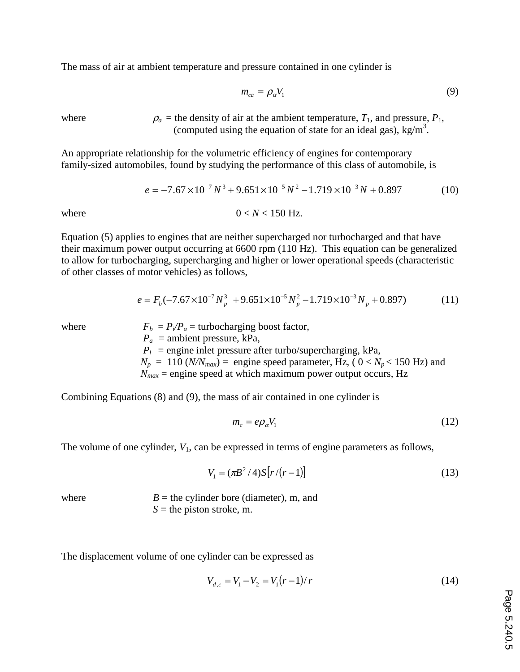The mass of air at ambient temperature and pressure contained in one cylinder is

$$
m_{ca} = \rho_{\alpha} V_1 \tag{9}
$$

where  $\rho_a$  = the density of air at the ambient temperature,  $T_1$ , and pressure,  $P_1$ , (computed using the equation of state for an ideal gas),  $\text{kg/m}^3$ .

An appropriate relationship for the volumetric efficiency of engines for contemporary family-sized automobiles, found by studying the performance of this class of automobile, is

$$
e = -7.67 \times 10^{-7} N^3 + 9.651 \times 10^{-5} N^2 - 1.719 \times 10^{-3} N + 0.897
$$
 (10)  
where  

$$
0 < N < 150
$$
 Hz.

Equation (5) applies to engines that are neither supercharged nor turbocharged and that have their maximum power output occurring at 6600 rpm (110 Hz). This equation can be generalized to allow for turbocharging, supercharging and higher or lower operational speeds (characteristic of other classes of motor vehicles) as follows,

$$
e = F_b(-7.67 \times 10^{-7} N_p^3 + 9.651 \times 10^{-5} N_p^2 - 1.719 \times 10^{-3} N_p + 0.897)
$$
 (11)

where  $F_b = P_i/P_a$  = turbocharging boost factor,  $P_a$  = ambient pressure, kPa,  $P_i$  = engine inlet pressure after turbo/supercharging, kPa,  $N_p = 110 (N/N_{max})$  = engine speed parameter, Hz, ( $0 < N_p < 150$  Hz) and  $N_{max}$  = engine speed at which maximum power output occurs, Hz

Combining Equations (8) and (9), the mass of air contained in one cylinder is

$$
m_c = e \rho_\alpha V_1 \tag{12}
$$

The volume of one cylinder,  $V_1$ , can be expressed in terms of engine parameters as follows,

$$
V_1 = (\pi B^2 / 4) S[r/(r-1)] \tag{13}
$$

where  $B =$  the cylinder bore (diameter), m, and  $S =$  the piston stroke, m.

The displacement volume of one cylinder can be expressed as

$$
V_{d,c} = V_1 - V_2 = V_1(r-1)/r
$$
\n(14)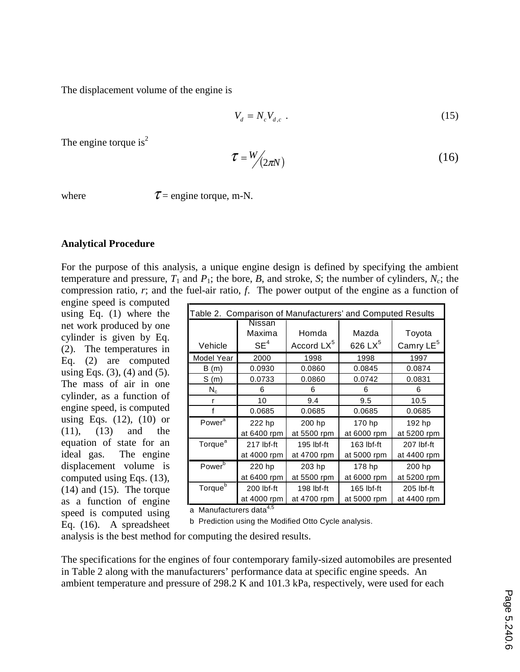The displacement volume of the engine is

$$
V_d = N_c V_{d,c} \tag{15}
$$

The engine torque is<sup>2</sup>

$$
\tau = \frac{W}{(2\pi N)}\tag{16}
$$

where  $\tau$  = engine torque, m-N.

## **Analytical Procedure**

For the purpose of this analysis, a unique engine design is defined by specifying the ambient temperature and pressure,  $T_1$  and  $P_1$ ; the bore, *B*, and stroke, *S*; the number of cylinders,  $N_c$ ; the compression ratio, *r*; and the fuel-air ratio, *f*. The power output of the engine as a function of

engine speed is computed using Eq. (1) where the net work produced by one cylinder is given by Eq. (2). The temperatures in Eq. (2) are computed using Eqs.  $(3)$ ,  $(4)$  and  $(5)$ . The mass of air in one cylinder, as a function of engine speed, is computed using Eqs.  $(12)$ ,  $(10)$  or (11), (13) and the equation of state for an ideal gas. The engine displacement volume is computed using Eqs. (13), (14) and (15). The torque as a function of engine speed is computed using Eq. (16). A spreadsheet

| Table 2. Comparison of Manufacturers' and Computed Results |                                     |                                 |                              |                                 |  |  |
|------------------------------------------------------------|-------------------------------------|---------------------------------|------------------------------|---------------------------------|--|--|
| Vehicle                                                    | Nissan<br>Maxima<br>SE <sup>4</sup> | Homda<br>Accord LX <sup>5</sup> | Mazda<br>626 LX <sup>5</sup> | Toyota<br>Camry LE <sup>5</sup> |  |  |
|                                                            |                                     |                                 |                              |                                 |  |  |
| Model Year                                                 | 2000                                | 1998                            | 1998                         | 1997                            |  |  |
| B(m)                                                       | 0.0930                              | 0.0860                          | 0.0845                       | 0.0874                          |  |  |
| S(m)                                                       | 0.0733                              | 0.0860                          | 0.0742                       | 0.0831                          |  |  |
| $N_c$                                                      | 6                                   | 6                               | 6                            | 6                               |  |  |
| r                                                          | 10                                  | 9.4                             | 9.5                          | 10.5                            |  |  |
|                                                            | 0.0685                              | 0.0685                          | 0.0685                       | 0.0685                          |  |  |
| Power <sup>a</sup>                                         | 222 hp                              | 200 hp                          | 170 hp                       | 192 hp                          |  |  |
|                                                            | at 6400 rpm                         | at 5500 rpm                     | at 6000 rpm                  | at 5200 rpm                     |  |  |
| Torque <sup>a</sup>                                        | $217$ lbf-ft                        | 195 lbf-ft                      | 163 lbf-ft                   | 207 lbf-ft                      |  |  |
|                                                            | at 4000 rpm                         | at 4700 rpm                     | at 5000 rpm                  | at 4400 rpm                     |  |  |
| Power <sup>b</sup>                                         | 220 hp                              | 203 hp                          | 178 hp                       | 200 hp                          |  |  |
|                                                            | at 6400 rpm                         | at 5500 rpm                     | at 6000 rpm                  | at 5200 rpm                     |  |  |
| Torque <sup>b</sup>                                        | 200 lbf-ft                          | 198 lbf-ft                      | 165 lbf-ft                   | 205 lbf-ft                      |  |  |
|                                                            | at 4000 rpm                         | at 4700 rpm                     | at 5000 rpm                  | at 4400 rpm                     |  |  |
|                                                            |                                     |                                 |                              |                                 |  |  |

a Manufacturers data<sup>4,5</sup>

b Prediction using the Modified Otto Cycle analysis.

analysis is the best method for computing the desired results.

The specifications for the engines of four contemporary family-sized automobiles are presented in Table 2 along with the manufacturers' performance data at specific engine speeds. An ambient temperature and pressure of 298.2 K and 101.3 kPa, respectively, were used for each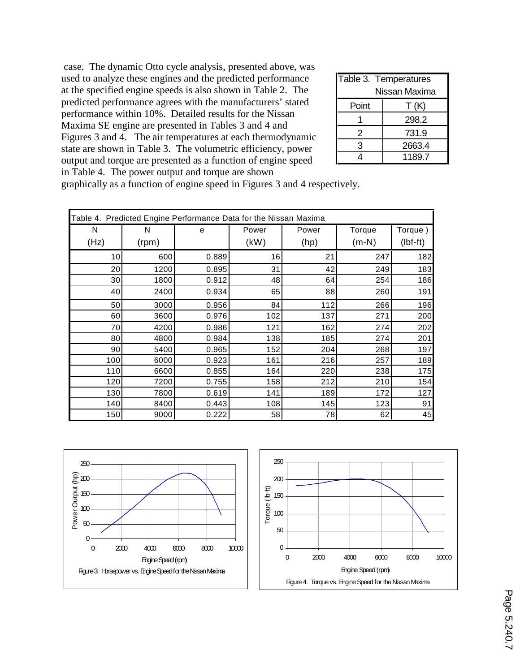|               | Table 3. Temperatures |  |  |  |
|---------------|-----------------------|--|--|--|
| Nissan Maxima |                       |  |  |  |
| Point         | T(K)                  |  |  |  |
|               | 298.2                 |  |  |  |
| 2             | 731.9                 |  |  |  |
| 3             | 2663.4                |  |  |  |
|               | 1189.7                |  |  |  |

 case. The dynamic Otto cycle analysis, presented above, was used to analyze these engines and the predicted performance at the specified engine speeds is also shown in Table 2. The predicted performance agrees with the manufacturers' stated performance within 10%. Detailed results for the Nissan Maxima SE engine are presented in Tables 3 and 4 and Figures 3 and 4. The air temperatures at each thermodynamic state are shown in Table 3. The volumetric efficiency, power output and torque are presented as a function of engine speed in Table 4. The power output and torque are shown

graphically as a function of engine speed in Figures 3 and 4 respectively.

| Table 4. Predicted Engine Performance Data for the Nissan Maxima |       |       |       |       |         |            |  |  |
|------------------------------------------------------------------|-------|-------|-------|-------|---------|------------|--|--|
| N                                                                | N     | e     | Power | Power | Torque  | Torque)    |  |  |
| (Hz)                                                             | (rpm) |       | (kW)  | (hp)  | $(m-N)$ | $(lbf-ft)$ |  |  |
| 10 <sup>1</sup>                                                  | 600   | 0.889 | 16    | 21    | 247     | 182        |  |  |
| 20                                                               | 1200  | 0.895 | 31    | 42    | 249     | 183        |  |  |
| $30$                                                             | 1800  | 0.912 | 48    | 64    | 254     | 186        |  |  |
| 40                                                               | 2400  | 0.934 | 65    | 88    | 260     | 191        |  |  |
| 50                                                               | 3000  | 0.956 | 84    | 112   | 266     | 196        |  |  |
| 60                                                               | 3600  | 0.976 | 102   | 137   | 271     | 200        |  |  |
| 70                                                               | 4200  | 0.986 | 121   | 162   | 274     | 202        |  |  |
| 80 <sup>1</sup>                                                  | 4800  | 0.984 | 138   | 185   | 274     | 201        |  |  |
| 90 <sub>1</sub>                                                  | 5400  | 0.965 | 152   | 204   | 268     | 197        |  |  |
| 100                                                              | 6000  | 0.923 | 161   | 216   | 257     | 189        |  |  |
| 110                                                              | 6600  | 0.855 | 164   | 220   | 238     | 175        |  |  |
| 120                                                              | 7200  | 0.755 | 158   | 212   | 210     | 154        |  |  |
| 130                                                              | 7800  | 0.619 | 141   | 189   | 172     | 127        |  |  |
| 140                                                              | 8400  | 0.443 | 108   | 145   | 123     | 91         |  |  |
| 150                                                              | 9000  | 0.222 | 58    | 78    | 62      | 45         |  |  |